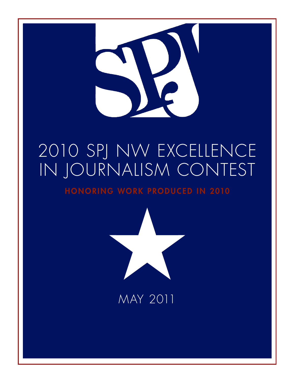

# 2010 SPJ NW EXCELLENCE IN JOURNALISM CONTEST

HONORING WORK PRODUCED IN 2010



# MAY 2011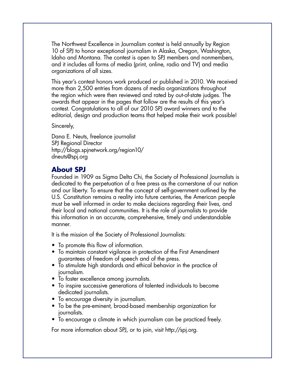The Northwest Excellence in Journalism contest is held annually by Region 10 of SPJ to honor exceptional journalism in Alaska, Oregon, Washington, Idaho and Montana. The contest is open to SPJ members and nonmembers, and it includes all forms of media (print, online, radio and TV) and media organizations of all sizes.

This year's contest honors work produced or published in 2010. We received more than 2,500 entries from dozens of media organizations throughout the region which were then reviewed and rated by out-of-state judges. The awards that appear in the pages that follow are the results of this year's contest. Congratulations to all of our 2010 SPJ award winners and to the editorial, design and production teams that helped make their work possible!

#### Sincerely,

Dana E. Neuts, freelance journalist SPJ Regional Director http://blogs.spjnetwork.org/region10/ dneuts@spj.org

#### **About SPJ**

Founded in 1909 as Sigma Delta Chi, the Society of Professional Journalists is dedicated to the perpetuation of a free press as the cornerstone of our nation and our liberty. To ensure that the concept of self-government outlined by the U.S. Constitution remains a reality into future centuries, the American people must be well informed in order to make decisions regarding their lives, and their local and national communities. It is the role of journalists to provide this information in an accurate, comprehensive, timely and understandable manner.

It is the mission of the Society of Professional Journalists:

- To promote this flow of information.
- To maintain constant vigilance in protection of the First Amendment guarantees of freedom of speech and of the press.
- To stimulate high standards and ethical behavior in the practice of journalism.
- To foster excellence among journalists.
- To inspire successive generations of talented individuals to become dedicated journalists.
- To encourage diversity in journalism.
- To be the pre-eminent, broad-based membership organization for journalists.
- To encourage a climate in which journalism can be practiced freely.

**PAGE 2** SPJ 2011

For more information about SPJ, or to join, visit http://spj.org.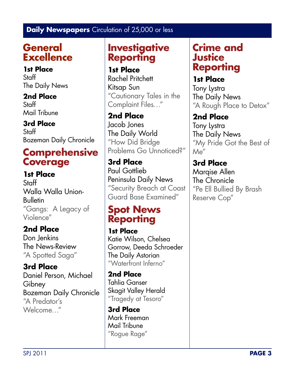## **General Excellence**

**1st Place Staff** The Daily News

**2nd Place Staff** Mail Tribune

**3rd Place Staff** Bozeman Daily Chronicle

## **Comprehensive Coverage**

**1st Place Staff** Walla Walla Union-**Bulletin** "Gangs: A Legacy of Violence"

**2nd Place** Don Jenkins The News-Review "A Spotted Saga"

**3rd Place** Daniel Person, Michael **Gibney** Bozeman Daily Chronicle "A Predator's Welcome…"

## **Investigative Reporting**

**1st Place** Rachel Pritchett Kitsap Sun "Cautionary Tales in the Complaint Files…"

**2nd Place** Jacob Jones The Daily World "How Did Bridge Problems Go Unnoticed?"

**3rd Place** Paul Gottlieb Peninsula Daily News "Security Breach at Coast Guard Base Examined"

## **Spot News Reporting**

**1st Place** Katie Wilson, Chelsea Gorrow, Deeda Schroeder The Daily Astorian "Waterfront Inferno"

**2nd Place** Tahlia Ganser Skagit Valley Herald "Tragedy at Tesoro"

**3rd Place** Mark Freeman Mail Tribune "Rogue Rage"

### **Crime and Justice Reporting**

**1st Place** Tony Lystra The Daily News "A Rough Place to Detox"

### **2nd Place**

Tony Lystra The Daily News "My Pride Got the Best of Me"

**3rd Place** Marqise Allen The Chronicle "Pe Ell Bullied By Brash Reserve Cop"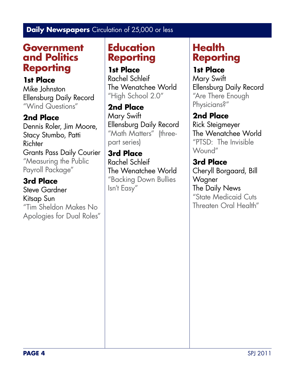### **Government and Politics Reporting**

### **1st Place**

Mike Johnston Ellensburg Daily Record "Wind Questions"

### **2nd Place**

Dennis Roler, Jim Moore, Stacy Stumbo, Patti **Richter** Grants Pass Daily Courier "Measuring the Public Payroll Package"

### **3rd Place**

Steve Gardner Kitsap Sun "Tim Sheldon Makes No Apologies for Dual Roles"

## **Education Reporting**

**1st Place** Rachel Schleif The Wenatchee World "High School 2.0"

**2nd Place** Mary Swift Ellensburg Daily Record "Math Matters" (threepart series)

**3rd Place** Rachel Schleif The Wenatchee World "Backing Down Bullies Isn't Easy"

## **Health Reporting**

### **1st Place**

Mary Swift Ellensburg Daily Record "Are There Enough Physicians?"

### **2nd Place**

Rick Steigmeyer The Wenatchee World "PTSD: The Invisible Wound"

**3rd Place** Cheryll Borgaard, Bill **Wagner** The Daily News "State Medicaid Cuts Threaten Oral Health"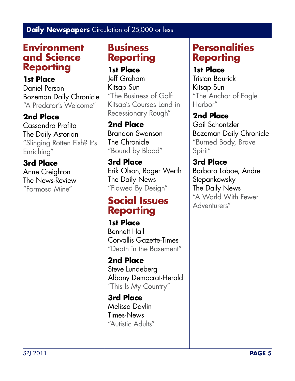### **Environment and Science Reporting**

**1st Place** Daniel Person Bozeman Daily Chronicle "A Predator's Welcome"

### **2nd Place**

Cassandra Profita The Daily Astorian "Slinging Rotten Fish? It's Enriching"

### **3rd Place**

Anne Creighton The News-Review "Formosa Mine"

### **Business Reporting**

**1st Place** Jeff Graham Kitsap Sun "The Business of Golf: Kitsap's Courses Land in Recessionary Rough"

#### **2nd Place** Brandon Swanson The Chronicle

"Bound by Blood"

**3rd Place** Erik Olson, Roger Werth The Daily News "Flawed By Design"

## **Social Issues Reporting**

**1st Place** Bennett Hall Corvallis Gazette-Times "Death in the Basement"

**2nd Place** Steve Lundeberg Albany Democrat-Herald "This Is My Country"

**3rd Place** Melissa Davlin Times-News "Autistic Adults"

## **Personalities Reporting**

**1st Place**

Tristan Baurick Kitsap Sun "The Anchor of Eagle Harbor"

**2nd Place** Gail Schontzler Bozeman Daily Chronicle "Burned Body, Brave Spirit"

#### **3rd Place** Barbara Laboe, Andre Stepankowsky The Daily News "A World With Fewer Adventurers"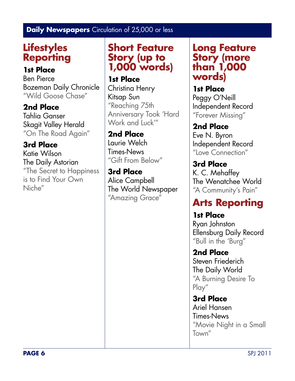## **Lifestyles Reporting**

#### **1st Place**

Ben Pierce Bozeman Daily Chronicle "Wild Goose Chase"

**2nd Place**

Tahlia Ganser Skagit Valley Herald "On The Road Again"

**3rd Place** Katie Wilson The Daily Astorian "The Secret to Happiness is to Find Your Own Niche"

## **Short Feature Story (up to 1,000 words)**

**1st Place** Christina Henry Kitsap Sun "Reaching 75th Anniversary Took 'Hard Work and Luck'"

**2nd Place** Laurie Welch Times-News "Gift From Below"

**3rd Place** Alice Campbell The World Newspaper "Amazing Grace"

### **Long Feature Story (more than 1,000 words)**

**1st Place** Peggy O'Neill Independent Record "Forever Missing"

**2nd Place** Eve N. Byron Independent Record "Love Connection"

**3rd Place** K. C. Mehaffey The Wenatchee World "A Community's Pain"

## **Arts Reporting**

**1st Place** Ryan Johnston Ellensburg Daily Record "Bull in the 'Burg"

**2nd Place** Steven Friederich The Daily World "A Burning Desire To Play"

**3rd Place** Ariel Hansen Times-News "Movie Night in a Small Town"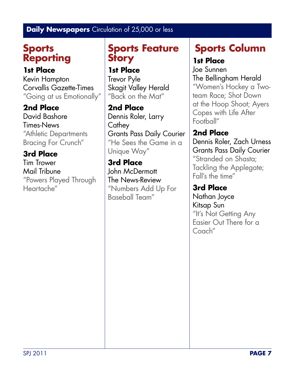## **Sports Reporting**

**1st Place** Kevin Hampton Corvallis Gazette-Times "Going at us Emotionally"

**2nd Place** David Bashore Times-News "Athletic Departments Bracing For Crunch"

**3rd Place** Tim Trower Mail Tribune "Powers Played Through Heartache"

## **Sports Feature Story**

**1st Place** Trevor Pyle Skagit Valley Herald "Back on the Mat"

**2nd Place** Dennis Roler, Larry **Cathey** Grants Pass Daily Courier "He Sees the Game in a Unique Way"

**3rd Place** John McDermott The News-Review "Numbers Add Up For Baseball Team"

# **Sports Column**

### **1st Place**

Joe Sunnen The Bellingham Herald "Women's Hockey a Twoteam Race; Shot Down at the Hoop Shoot; Ayers Copes with Life After Football"

**2nd Place** Dennis Roler, Zach Urness Grants Pass Daily Courier "Stranded on Shasta; Tackling the Applegate; Fall's the time"

**3rd Place** Nathan Joyce Kitsap Sun "It's Not Getting Any Easier Out There for a Coach"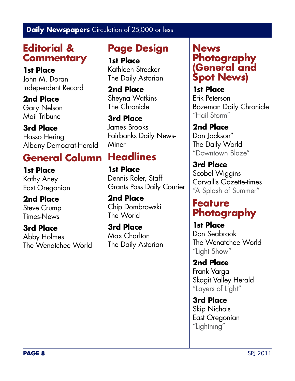## **Editorial & Commentary**

**1st Place** John M. Doran Independent Record

**2nd Place** Gary Nelson Mail Tribune

**3rd Place** Hasso Hering Albany Democrat-Herald

## **General Column**

**1st Place** Kathy Aney East Oregonian

**2nd Place** Steve Crump Times-News

**3rd Place** Abby Holmes The Wenatchee World

## **Page Design**

**1st Place** Kathleen Strecker The Daily Astorian

**2nd Place** Sheyna Watkins The Chronicle

**3rd Place** James Brooks Fairbanks Daily News-**Miner** 

## **Headlines**

**1st Place** Dennis Roler, Staff Grants Pass Daily Courier

**2nd Place** Chip Dombrowski The World

**3rd Place** Max Charlton The Daily Astorian

### **News Photography (General and Spot News)**

**1st Place** Erik Peterson Bozeman Daily Chronicle "Hail Storm"

**2nd Place** Dan Jackson" The Daily World "Downtown Blaze"

**3rd Place** Scobel Wiggins Corvallis Gazette-times "A Splash of Summer"

### **Feature Photography**

**1st Place** Don Seabrook The Wenatchee World "Light Show"

**2nd Place** Frank Varga Skagit Valley Herald "Layers of Light"

**3rd Place** Skip Nichols East Oregonian "Lightning"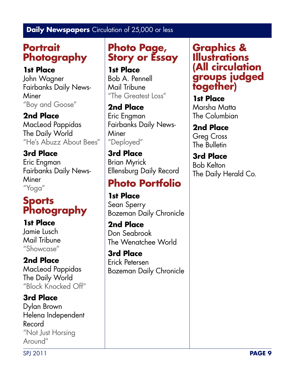## **Portrait Photography**

### **1st Place**

John Wagner Fairbanks Daily News-**Miner** "Boy and Goose"

### **2nd Place**

MacLeod Pappidas The Daily World "He's Abuzz About Bees"

# **3rd Place**

Eric Engman Fairbanks Daily News-**Miner** "Yoga"

## **Sports Photography**

### **1st Place**

Jamie Lusch Mail Tribune "Showcase"

## **2nd Place**

MacLeod Pappidas The Daily World "Block Knocked Off"

### **3rd Place**

Dylan Brown Helena Independent Record "Not Just Horsing Around"

## **Photo Page, Story or Essay**

**1st Place** Bob A. Pennell Mail Tribune "The Greatest Loss"

### **2nd Place** Eric Engman

Fairbanks Daily News-**Miner** "Deployed"

# **3rd Place**

Brian Myrick Ellensburg Daily Record

# **Photo Portfolio**

#### **1st Place** Sean Sperry Bozeman Daily Chronicle

**2nd Place** Don Seabrook The Wenatchee World

**3rd Place** Erick Petersen Bozeman Daily Chronicle

### **Graphics & Illustrations (All circulation groups judged together)**

**1st Place** Marsha Matta The Columbian

**2nd Place** Greg Cross The Bulletin

## **3rd Place**

Bob Kelton The Daily Herald Co.

SPJ 2011 **PAGE 9**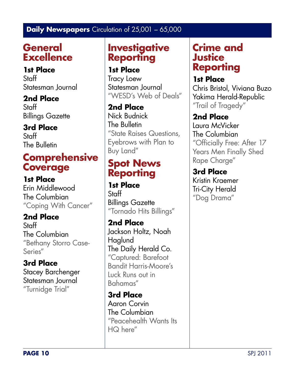## **General Excellence**

**1st Place** Staff Statesman Journal

**2nd Place** Staff

Billings Gazette

### **3rd Place**

**Staff** The Bulletin

## **Comprehensive Coverage**

**1st Place** Erin Middlewood The Columbian "Coping With Cancer"

**2nd Place** Staff The Columbian "Bethany Storro Case-Series"

**3rd Place** Stacey Barchenger Statesman Journal "Turnidge Trial"

## **Investigative Reporting**

**1st Place** Tracy Loew

Statesman Journal "WESD's Web of Deals"

**2nd Place** Nick Budnick The Bulletin "State Raises Questions, Eyebrows with Plan to Buy Land"

## **Spot News Reporting**

**1st Place** Staff Billings Gazette "Tornado Hits Billings"

**2nd Place** Jackson Holtz, Noah Haglund The Daily Herald Co. "Captured: Barefoot Bandit Harris-Moore's Luck Runs out in Bahamas"

**3rd Place** Aaron Corvin The Columbian "Peacehealth Wants Its HQ here"

### **Crime and Justice Reporting**

**1st Place** Chris Bristol, Viviana Buzo Yakima Herald-Republic "Trail of Tragedy"

**2nd Place**

Laura McVicker The Columbian "Officially Free: After 17 Years Men Finally Shed Rape Charge"

**3rd Place** Kristin Kraemer Tri-City Herald "Dog Drama"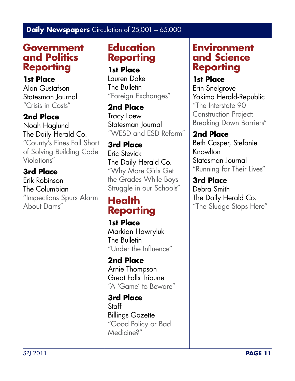### **Government and Politics Reporting**

**1st Place** Alan Gustafson Statesman Journal "Crisis in Costs"

**2nd Place** Noah Haglund The Daily Herald Co. "County's Fines Fall Short of Solving Building Code Violations"

**3rd Place** Erik Robinson The Columbian "Inspections Spurs Alarm About Dams"

### **Education Reporting**

**1st Place** Lauren Dake The Bulletin "Foreign Exchanges"

**2nd Place** Tracy Loew Statesman Journal "WESD and ESD Reform"

**3rd Place** Eric Stevick The Daily Herald Co. "Why More Girls Get the Grades While Boys Struggle in our Schools"

## **Health Reporting**

**1st Place** Markian Hawryluk The Bulletin "Under the Influence"

**2nd Place** Arnie Thompson Great Falls Tribune "A 'Game' to Beware"

**3rd Place Staff** Billings Gazette "Good Policy or Bad Medicine?"

### **Environment and Science Reporting**

**1st Place** Erin Snelgrove Yakima Herald-Republic "The Interstate 90 Construction Project: Breaking Down Barriers"

**2nd Place** Beth Casper, Stefanie Knowlton Statesman Journal "Running for Their Lives"

**3rd Place** Debra Smith The Daily Herald Co. "The Sludge Stops Here"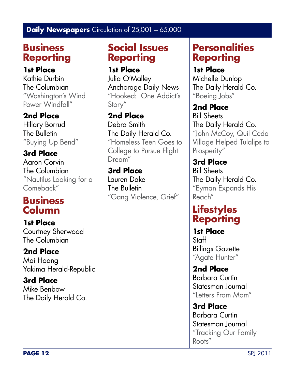## **Business Reporting**

#### **1st Place**

Kathie Durbin The Columbian "Washington's Wind Power Windfall"

### **2nd Place**

Hillary Borrud The Bulletin "Buying Up Bend"

**3rd Place** Aaron Corvin The Columbian "Nautilus Looking for a Comeback"

## **Business Column**

**1st Place** Courtney Sherwood The Columbian

**2nd Place** Mai Hoang Yakima Herald-Republic

**3rd Place** Mike Benbow The Daily Herald Co.

## **Social Issues Reporting**

**1st Place** Julia O'Malley Anchorage Daily News "Hooked: One Addict's Story"

**2nd Place** Debra Smith The Daily Herald Co. "Homeless Teen Goes to College to Pursue Flight Dream"

**3rd Place** Lauren Dake The Bulletin "Gang Violence, Grief"

## **Personalities Reporting**

### **1st Place**

Michelle Dunlop The Daily Herald Co. "Boeing Jobs"

#### **2nd Place**

Bill Sheets The Daily Herald Co. "John McCoy, Quil Ceda Village Helped Tulalips to Prosperity"

**3rd Place** Bill Sheets The Daily Herald Co. "Eyman Expands His Reach"

## **Lifestyles Reporting**

**1st Place** Staff Billings Gazette "Agate Hunter"

**2nd Place** Barbara Curtin Statesman Journal "Letters From Mom"

**3rd Place** Barbara Curtin Statesman Journal "Tracking Our Family Roots"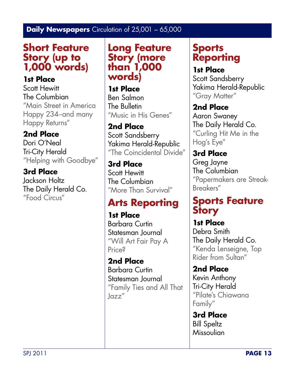## **Short Feature Story (up to 1,000 words)**

### **1st Place**

Scott Hewitt The Columbian "Main Street in America Happy 234--and many Happy Returns"

### **2nd Place**

Dori O'Neal Tri-City Herald "Helping with Goodbye"

### **3rd Place**

Jackson Holtz The Daily Herald Co. "Food Circus"

**Long Feature Story (more than 1,000 words)**

**1st Place** Ben Salmon The Bulletin "Music in His Genes"

#### **2nd Place** Scott Sandsberry Yakima Herald-Republic "The Coincidental Divide"

**3rd Place** Scott Hewitt The Columbian "More Than Survival"

## **Arts Reporting**

**1st Place** Barbara Curtin Statesman Journal "Will Art Fair Pay A Price?

**2nd Place** Barbara Curtin Statesman Journal "Family Ties and All That  $\log z''$ 

## **Sports Reporting**

**1st Place** Scott Sandsberry Yakima Herald-Republic "Gray Matter"

**2nd Place** Aaron Swaney The Daily Herald Co. "Curling Hit Me in the Hog's Eye"

**3rd Place** Greg Jayne The Columbian "Papermakers are Streak-Breakers"

## **Sports Feature Story**

**1st Place** Debra Smith The Daily Herald Co. "Kenda Lenseigne, Top Rider from Sultan"

**2nd Place** Kevin Anthony Tri-City Herald "Pilate's Chiawana Family"

**3rd Place** Bill Speltz Missoulian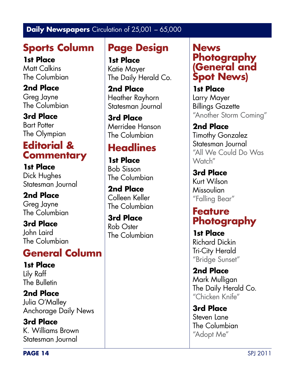## **Sports Column**

**1st Place** Matt Calkins The Columbian

**2nd Place** Greg Jayne The Columbian

**3rd Place** Bart Potter The Olympian

## **Editorial & Commentary**

**1st Place** Dick Hughes Statesman Journal

**2nd Place** Greg Jayne The Columbian

**3rd Place** John Laird The Columbian

## **General Column**

**1st Place** Lily Raff The Bulletin

**2nd Place** Julia O'Malley Anchorage Daily News

**3rd Place** K. Williams Brown Statesman Journal

## **Page Design**

**1st Place** Katie Mayer The Daily Herald Co.

**2nd Place** Heather Rayhorn Statesman Journal

**3rd Place** Merridee Hanson The Columbian

## **Headlines**

**1st Place** Bob Sisson The Columbian

**2nd Place** Colleen Keller The Columbian

**3rd Place** Rob Oster The Columbian

### **News Photography (General and Spot News)**

**1st Place** Larry Mayer Billings Gazette "Another Storm Coming"

**2nd Place** Timothy Gonzalez Statesman Journal "All We Could Do Was Watch"

**3rd Place** Kurt Wilson Missoulian "Falling Bear"

## **Feature Photography**

**1st Place** Richard Dickin Tri-City Herald "Bridge Sunset"

**2nd Place** Mark Mulligan The Daily Herald Co. "Chicken Knife"

**3rd Place** Steven Lane The Columbian "Adopt Me"

**PAGE 14** SPJ 2011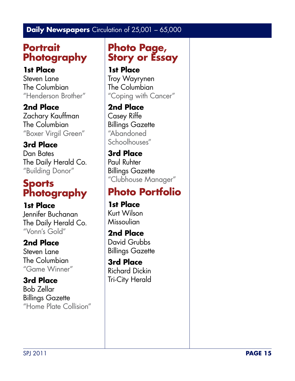## **Portrait Photography**

**1st Place** Steven Lane The Columbian "Henderson Brother"

**2nd Place** Zachary Kauffman The Columbian "Boxer Virgil Green"

**3rd Place** Dan Bates The Daily Herald Co. "Building Donor"

## **Sports Photography**

**1st Place** Jennifer Buchanan The Daily Herald Co. "Vonn's Gold"

**2nd Place**

Steven Lane The Columbian "Game Winner"

**3rd Place** Bob Zellar Billings Gazette "Home Plate Collision"

## **Photo Page, Story or Essay**

**1st Place** Troy Wayrynen The Columbian "Coping with Cancer"

**2nd Place** Casey Riffe Billings Gazette "Abandoned Schoolhouses"

**3rd Place** Paul Ruhter Billings Gazette "Clubhouse Manager"

# **Photo Portfolio**

**1st Place** Kurt Wilson Missoulian

**2nd Place** David Grubbs Billings Gazette

**3rd Place** Richard Dickin Tri-City Herald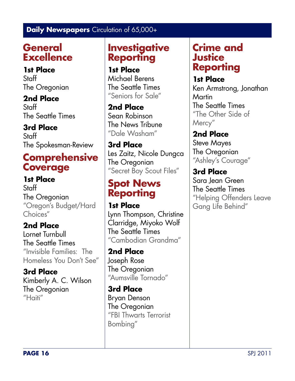## **General Excellence**

**1st Place** Staff The Oregonian

**2nd Place Staff** The Seattle Times

**3rd Place Staff** The Spokesman-Review

## **Comprehensive Coverage**

**1st Place Staff** The Oregonian "Oregon's Budget/Hard Choices"

**2nd Place** Lornet Turnbull The Seattle Times "Invisible Families: The Homeless You Don't See"

**3rd Place** Kimberly A. C. Wilson The Oregonian "Haiti"

## **Investigative Reporting**

**1st Place** Michael Berens The Seattle Times "Seniors for Sale"

**2nd Place** Sean Robinson The News Tribune "Dale Washam"

**3rd Place** Les Zaitz, Nicole Dungca The Oregonian "Secret Boy Scout Files"

## **Spot News Reporting**

**1st Place** Lynn Thompson, Christine Clarridge, Miyoko Wolf The Seattle Times "Cambodian Grandma"

**2nd Place** Joseph Rose The Oregonian "Aumsville Tornado"

**3rd Place** Bryan Denson The Oregonian "FBI Thwarts Terrorist Bombing"

## **Crime and Justice Reporting**

**1st Place** Ken Armstrong, Jonathan Martin The Seattle Times "The Other Side of Mercy"

**2nd Place** Steve Mayes The Oregonian "Ashley's Courage"

**3rd Place** Sara Jean Green The Seattle Times "Helping Offenders Leave Gang Life Behind"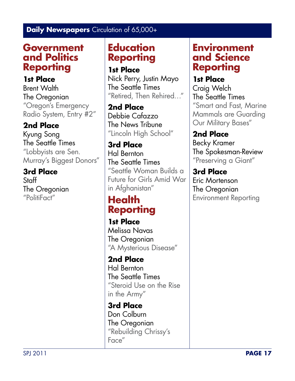### **Government and Politics Reporting**

**1st Place** Brent Walth The Oregonian "Oregon's Emergency Radio System, Entry #2"

### **2nd Place**

Kyung Song The Seattle Times "Lobbyists are Sen. Murray's Biggest Donors"

#### **3rd Place**

**Staff** The Oregonian "PolitiFact"

### **Education Reporting**

**1st Place**

Nick Perry, Justin Mayo The Seattle Times "Retired, Then Rehired…"

**2nd Place** Debbie Cafazzo The News Tribune "Lincoln High School"

**3rd Place** Hal Bernton The Seattle Times "Seattle Woman Builds a Future for Girls Amid War in Afghanistan"

## **Health Reporting**

**1st Place** Melissa Navas The Oregonian "A Mysterious Disease"

**2nd Place** Hal Bernton The Seattle Times "Steroid Use on the Rise in the Army"

**3rd Place** Don Colburn The Oregonian "Rebuilding Chrissy's Face"

### **Environment and Science Reporting**

**1st Place** Craig Welch The Seattle Times "Smart and Fast, Marine Mammals are Guarding Our Military Bases"

**2nd Place** Becky Kramer The Spokesman-Review "Preserving a Giant"

**3rd Place** Eric Mortenson The Oregonian Environment Reporting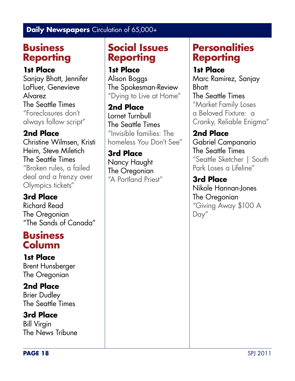## **Business Reporting**

### **1st Place**

Sanjay Bhatt, Jennifer LaFluer, Genevieve Alvarez The Seattle Times "Foreclosures don't always follow script"

### **2nd Place**

Christine Wilmsen, Kristi Heim, Steve Miletich The Seattle Times "Broken rules, a failed deal and a frenzy over Olympics tickets"

### **3rd Place**

Richard Read The Oregonian "The Sands of Canada"

### **Business Column**

**1st Place** Brent Hunsberger The Oregonian

#### **2nd Place** Brier Dudley

The Seattle Times

### **3rd Place**

Bill Virgin The News Tribune

## **Social Issues Reporting**

**1st Place** Alison Boggs The Spokesman-Review "Dying to Live at Home"

**2nd Place** Lornet Turnbull The Seattle Times "Invisible families: The homeless You Don't See"

**3rd Place** Nancy Haught The Oregonian "A Portland Priest"

## **Personalities Reporting**

### **1st Place**

Marc Ramirez, Sanjay Bhatt The Seattle Times "Market Family Loses a Beloved Fixture: a Cranky, Reliable Enigma"

**2nd Place** Gabriel Campanario The Seattle Times "Seattle Sketcher | South Park Loses a Lifeline"

**3rd Place** Nikole Hannan-Jones The Oregonian "Giving Away \$100 A Day"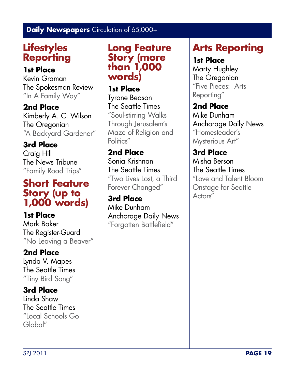## **Lifestyles Reporting**

#### **1st Place**

Kevin Graman The Spokesman-Review "In A Family Way"

**2nd Place** Kimberly A. C. Wilson The Oregonian "A Backyard Gardener"

**3rd Place** Craig Hill The News Tribune "Family Road Trips"

### **Short Feature Story (up to 1,000 words)**

**1st Place** Mark Baker The Register-Guard "No Leaving a Beaver"

### **2nd Place**

Lynda V. Mapes The Seattle Times "Tiny Bird Song"

### **3rd Place**

Linda Shaw The Seattle Times "Local Schools Go Global"

### **Long Feature Story (more than 1,000 words)**

**1st Place** Tyrone Beason The Seattle Times "Soul-stirring Walks Through Jerusalem's Maze of Religion and Politics"

**2nd Place** Sonia Krishnan The Seattle Times "Two Lives Lost, a Third Forever Changed"

**3rd Place** Mike Dunham Anchorage Daily News "Forgotten Battlefield"

## **Arts Reporting**

#### **1st Place**

Marty Hughley The Oregonian "Five Pieces: Arts Reporting"

**2nd Place** Mike Dunham Anchorage Daily News "Homesteader's Mysterious Art"

**3rd Place** Misha Berson The Seattle Times "Love and Talent Bloom Onstage for Seattle Actors"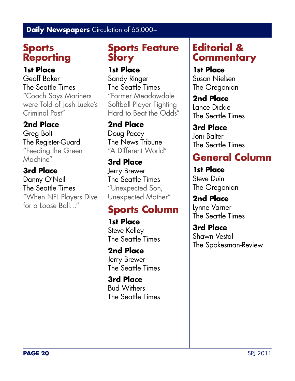## **Sports Reporting**

**1st Place** Geoff Baker The Seattle Times "Coach Says Mariners were Told of Josh Lueke's Criminal Past"

### **2nd Place**

Greg Bolt The Register-Guard "Feeding the Green Machine"

### **3rd Place**

Danny O'Neil The Seattle Times "When NFL Players Dive for a Loose Ball…"

## **Sports Feature Story**

**1st Place** Sandy Ringer The Seattle Times "Former Meadowdale Softball Player Fighting Hard to Beat the Odds"

**2nd Place** Doug Pacey The News Tribune "A Different World"

**3rd Place** Jerry Brewer The Seattle Times "Unexpected Son, Unexpected Mother"

## **Sports Column**

**1st Place** Steve Kelley The Seattle Times

**2nd Place** Jerry Brewer The Seattle Times

**3rd Place** Bud Withers The Seattle Times

## **Editorial & Commentary**

**1st Place** Susan Nielsen The Oregonian

**2nd Place** Lance Dickie The Seattle Times

**3rd Place** Joni Balter The Seattle Times

# **General Column**

**1st Place** Steve Duin The Oregonian

**2nd Place** Lynne Varner The Seattle Times

**3rd Place** Shawn Vestal The Spokesman-Review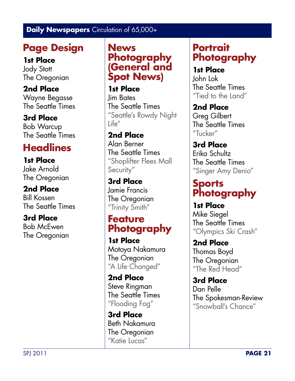## **Page Design**

**1st Place**

Jody Stott The Oregonian

**2nd Place** Wayne Begasse The Seattle Times

**3rd Place** Bob Warcup The Seattle Times

# **Headlines**

**1st Place** Jake Arnold The Oregonian

**2nd Place** Bill Kossen The Seattle Times

**3rd Place** Bob McEwen The Oregonian **News Photography (General and Spot News)**

**1st Place** Jim Bates The Seattle Times "Seattle's Rowdy Night Life"

**2nd Place** Alan Berner The Seattle Times "Shoplifter Flees Mall Security"

**3rd Place** Jamie Francis The Oregonian "Trinity Smith"

## **Feature Photography**

**1st Place** Motoya Nakamura The Oregonian "A Life Changed"

**2nd Place** Steve Ringman The Seattle Times "Flooding Fog"

**3rd Place** Beth Nakamura The Oregonian "Katie Lucas"

## **Portrait Photography**

**1st Place** John Lok The Seattle Times "Tied to the Land"

**2nd Place** Greg Gilbert The Seattle Times "Tucker"

**3rd Place** Erika Schultz The Seattle Times "Singer Amy Denio"

## **Sports Photography**

**1st Place** Mike Siegel The Seattle Times "Olympics Ski Crash"

**2nd Place** Thomas Boyd The Oregonian "The Red Head"

**3rd Place** Dan Pelle The Spokesman-Review "Snowball's Chance"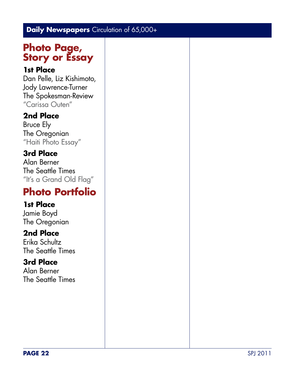### **Photo Page, Story or Essay**

#### **1st Place**

Dan Pelle, Liz Kishimoto, Jody Lawrence-Turner The Spokesman-Review "Carissa Outen"

#### **2nd Place**

Bruce Ely The Oregonian "Haiti Photo Essay"

### **3rd Place**

Alan Berner The Seattle Times "It's a Grand Old Flag"

## **Photo Portfolio**

#### **1st Place**

Jamie Boyd The Oregonian

#### **2nd Place**

Erika Schultz The Seattle Times

#### **3rd Place**

Alan Berner The Seattle Times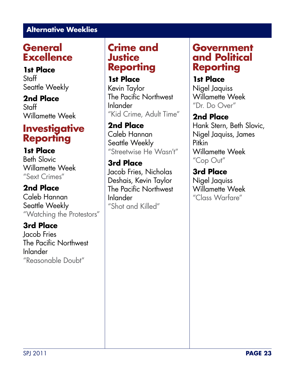## **General Excellence**

**1st Place** Staff Seattle Weekly

**2nd Place Staff** Willamette Week

## **Investigative Reporting**

**1st Place** Beth Slovic

Willamette Week "Sext Crimes"

#### **2nd Place** Caleb Hannan

Seattle Weekly "Watching the Protestors"

### **3rd Place**

Jacob Fries The Pacific Northwest Inlander "Reasonable Doubt"

## **Crime and Justice Reporting**

**1st Place** Kevin Taylor The Pacific Northwest Inlander "Kid Crime, Adult Time"

**2nd Place** Caleb Hannan Seattle Weekly "Streetwise He Wasn't"

**3rd Place** Jacob Fries, Nicholas Deshais, Kevin Taylor The Pacific Northwest Inlander "Shot and Killed"

### **Government and Political Reporting**

**1st Place** Nigel Jaquiss Willamette Week "Dr. Do Over"

**2nd Place**

Hank Stern, Beth Slovic, Nigel Jaquiss, James Pitkin Willamette Week "Cop Out"

**3rd Place** Nigel Jaquiss Willamette Week "Class Warfare"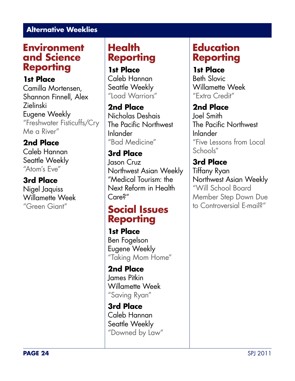### **Environment and Science Reporting**

**1st Place** Camilla Mortensen, Shannon Finnell, Alex Zielinski Eugene Weekly "Freshwater Fisticuffs/Cry Me a River"

#### **2nd Place** Caleb Hannan

Seattle Weekly "Atom's Eve"

#### **3rd Place**

Nigel Jaquiss Willamette Week "Green Giant"

### **Health Reporting**

**1st Place** Caleb Hannan Seattle Weekly "Load Warriors"

**2nd Place** Nicholas Deshais The Pacific Northwest Inlander "Bad Medicine"

#### **3rd Place** Jason Cruz Northwest Asian Weekly "Medical Tourism: the Next Reform in Health Care?"

### **Social Issues Reporting**

**1st Place** Ben Fogelson Eugene Weekly "Taking Mom Home"

**2nd Place** James Pitkin Willamette Week "Saving Ryan"

**3rd Place** Caleb Hannan Seattle Weekly "Downed by Law"

### **Education Reporting**

**1st Place** Beth Slovic Willamette Week "Extra Credit"

#### **2nd Place**

Joel Smith The Pacific Northwest Inlander "Five Lessons from Local Schools"

**3rd Place** Tiffany Ryan Northwest Asian Weekly "Will School Board Member Step Down Due to Controversial E-mail?"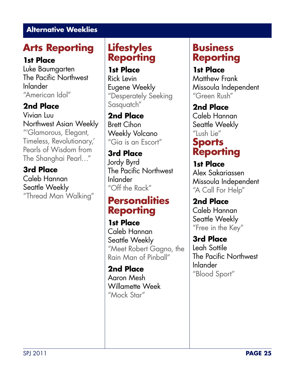## **Arts Reporting**

#### **1st Place**

Luke Baumgarten The Pacific Northwest Inlander "American Idol"

### **2nd Place**

Vivian Luu Northwest Asian Weekly "'Glamorous, Elegant, Timeless, Revolutionary,' Pearls of Wisdom from The Shanghai Pearl…"

**3rd Place** Caleb Hannan Seattle Weekly "Thread Man Walking"

### **Lifestyles Reporting**

**1st Place** Rick Levin Eugene Weekly "Desperately Seeking Sasquatch"

**2nd Place** Brett Cihon Weekly Volcano "Gia is an Escort"

**3rd Place** Jordy Byrd The Pacific Northwest Inlander "Off the Rack"

## **Personalities Reporting**

**1st Place** Caleb Hannan Seattle Weekly "Meet Robert Gagno, the Rain Man of Pinball"

**2nd Place** Aaron Mesh Willamette Week "Mock Star"

## **Business Reporting**

**1st Place** Matthew Frank Missoula Independent "Green Rush"

**2nd Place** Caleb Hannan Seattle Weekly "Lush Lie"

## **Sports Reporting**

**1st Place** Alex Sakariassen Missoula Independent "A Call For Help"

**2nd Place** Caleb Hannan Seattle Weekly "Free in the Key"

**3rd Place** Leah Sottile The Pacific Northwest Inlander "Blood Sport"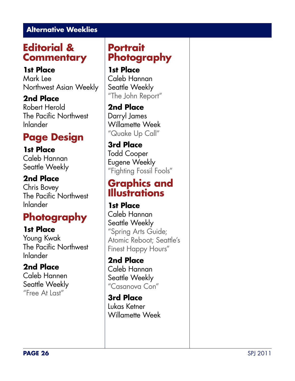## **Editorial & Commentary**

#### **1st Place**

Mark Lee Northwest Asian Weekly

**2nd Place** Robert Herold The Pacific Northwest Inlander

## **Page Design**

**1st Place** Caleb Hannan Seattle Weekly

#### **2nd Place**

Chris Bovey The Pacific Northwest Inlander

## **Photography**

#### **1st Place**

Young Kwak The Pacific Northwest Inlander

### **2nd Place**

Caleb Hannen Seattle Weekly "Free At Last"

### **Portrait Photography**

**1st Place** Caleb Hannan Seattle Weekly "The John Report"

**2nd Place** Darryl James Willamette Week "Quake Up Call"

**3rd Place** Todd Cooper Eugene Weekly "Fighting Fossil Fools"

## **Graphics and Illustrations**

**1st Place** Caleb Hannan Seattle Weekly "Spring Arts Guide; Atomic Reboot; Seattle's Finest Happy Hours"

**2nd Place** Caleb Hannan Seattle Weekly "Casanova Con"

**3rd Place** Lukas Ketner Willamette Week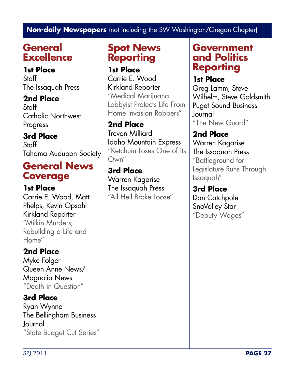## **General Excellence**

**1st Place** Staff The Issaquah Press

**2nd Place Staff** Catholic Northwest Progress

**3rd Place** Staff Tahoma Audubon Society

## **General News Coverage**

**1st Place** Carrie E. Wood, Matt Phelps, Kevin Opsahl Kirkland Reporter "Milkin Murders; Rebuilding a Life and Home"

### **2nd Place**

Myke Folger Queen Anne News/ Magnolia News "Death in Question"

**3rd Place** Ryan Wynne The Bellingham Business Journal "State Budget Cut Series"

## **Spot News Reporting**

**1st Place** Carrie E. Wood Kirkland Reporter "Medical Marijuana Lobbyist Protects Life From Home Invasion Robbers"

**2nd Place** Trevon Milliard Idaho Mountain Express "Ketchum Loses One of its Own"

**3rd Place** Warren Kagarise The Issaquah Press "All Hell Broke Loose"

### **Government and Politics Reporting**

**1st Place**

Greg Lamm, Steve Wilhelm, Steve Goldsmith Puget Sound Business Journal "The New Guard"

**2nd Place** Warren Kagarise The Issaquah Press "Battleground for Legislature Runs Through Issaquah"

**3rd Place** Dan Catchpole SnoValley Star "Deputy Wages"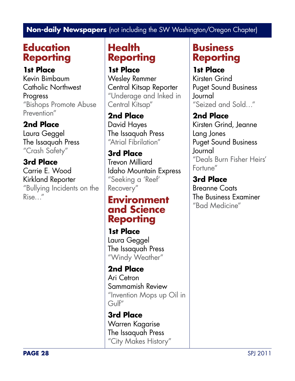## **Education Reporting**

**1st Place** Kevin Bimbaum Catholic Northwest Progress "Bishops Promote Abuse Prevention"

### **2nd Place**

Laura Geggel The Issaquah Press "Crash Safety"

**3rd Place** Carrie E. Wood Kirkland Reporter "Bullying Incidents on the Rise…"

### **Health Reporting**

**1st Place** Wesley Remmer Central Kitsap Reporter "Underage and Inked in Central Kitsap"

**2nd Place** David Hayes The Issaquah Press "Atrial Fibrilation"

**3rd Place** Trevon Milliard Idaho Mountain Express "Seeking a 'Reef' Recovery"

### **Environment and Science Reporting**

**1st Place** Laura Geggel The Issaquah Press "Windy Weather"

**2nd Place** Ari Cetron Sammamish Review "Invention Mops up Oil in Gulf"

**3rd Place** Warren Kagarise The Issaquah Press "City Makes History"

## **Business Reporting**

**1st Place** Kirsten Grind

Puget Sound Business Journal "Seized and Sold…"

**2nd Place** Kirsten Grind, Jeanne Lang Jones Puget Sound Business Journal "Deals Burn Fisher Heirs' Fortune"

**3rd Place** Breanne Coats The Business Examiner "Bad Medicine"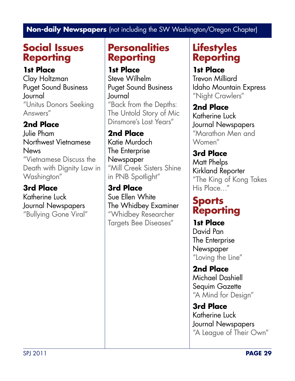## **Social Issues Reporting**

#### **1st Place**

Clay Holtzman Puget Sound Business Journal "Unitus Donors Seeking Answers"

### **2nd Place**

Julie Pham Northwest Vietnamese **News** "Vietnamese Discuss the Death with Dignity Law in Washington"

## **3rd Place**

Katherine Luck Journal Newspapers "Bullying Gone Viral"

## **Personalities Reporting**

**1st Place**

Steve Wilhelm Puget Sound Business Journal "Back from the Depths: The Untold Story of Mic Dinsmore's Lost Years"

### **2nd Place**

Katie Murdoch The Enterprise Newspaper "Mill Creek Sisters Shine in PNB Spotlight"

**3rd Place** Sue Ellen White The Whidbey Examiner "Whidbey Researcher Targets Bee Diseases"

## **Lifestyles Reporting**

#### **1st Place**

Trevon Milliard Idaho Mountain Express "Night Crawlers"

### **2nd Place**

Katherine Luck Journal Newspapers "Marathon Men and Women"

**3rd Place** Matt Phelps Kirkland Reporter "The King of Kong Takes His Place…"

### **Sports Reporting**

**1st Place** David Pan The Enterprise **Newspaper** "Loving the Line"

**2nd Place** Michael Dashiell Sequim Gazette "A Mind for Design"

**3rd Place** Katherine Luck Journal Newspapers "A League of Their Own"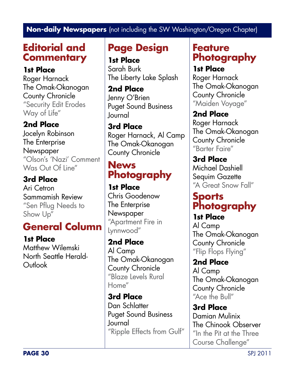## **Editorial and Commentary**

**1st Place**

Roger Harnack The Omak-Okanogan County Chronicle "Security Edit Erodes Way of Life"

### **2nd Place**

Jocelyn Robinson The Enterprise **Newspaper** "Olson's 'Nazi' Comment Was Out Of Line"

### **3rd Place**

Ari Cetron Sammamish Review "Sen Pflug Needs to Show Up"

## **General Column**

**1st Place** Matthew Wilemski North Seattle Herald-Outlook

## **Page Design**

**1st Place** Sarah Burk The Liberty Lake Splash

**2nd Place** Jenny O'Brien Puget Sound Business Journal

**3rd Place** Roger Harnack, Al Camp The Omak-Okanogan County Chronicle

## **News Photography**

**1st Place** Chris Goodenow The Enterprise **Newspaper** "Apartment Fire in Lynnwood"

**2nd Place** Al Camp The Omak-Okanogan County Chronicle "Blaze Levels Rural Home"

**3rd Place** Dan Schlatter Puget Sound Business Journal "Ripple Effects from Gulf"

## **Feature Photography**

**1st Place** Roger Harnack The Omak-Okanogan County Chronicle "Maiden Voyage"

**2nd Place** Roger Harnack The Omak-Okanogan County Chronicle "Barter Faire"

**3rd Place** Michael Dashiell Sequim Gazette "A Great Snow Fall"

## **Sports Photography**

**1st Place** Al Camp The Omak-Okanogan County Chronicle "Flip Flops Flying"

**2nd Place** Al Camp The Omak-Okanogan County Chronicle "Ace the Bull"

**3rd Place** Damian Mulinix The Chinook Observer "In the Pit at the Three Course Challenge"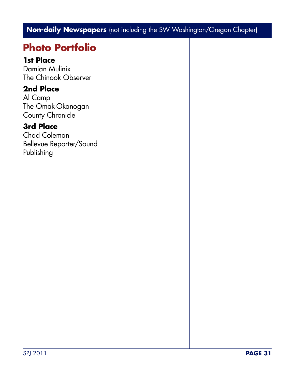## **Photo Portfolio**

#### **1st Place**

Damian Mulinix The Chinook Observer

#### **2nd Place**

Al Camp The Omak-Okanogan County Chronicle

#### **3rd Place**

Chad Coleman Bellevue Reporter/Sound Publishing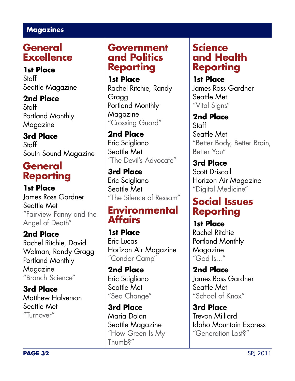## **General Excellence**

**1st Place** Staff Seattle Magazine

**2nd Place Staff** Portland Monthly Magazine

**3rd Place** Staff South Sound Magazine

## **General Reporting**

**1st Place** James Ross Gardner Seattle Met "Fairview Fanny and the Angel of Death"

**2nd Place** Rachel Ritchie, David Wolman, Randy Gragg Portland Monthly Magazine "Branch Science"

**3rd Place** Matthew Halverson Seattle Met "Turnover"

### **Government and Politics Reporting**

**1st Place** Rachel Ritchie, Randy Gragg Portland Monthly Magazine "Crossing Guard"

**2nd Place** Eric Scigliano Seattle Met "The Devil's Advocate"

**3rd Place** Eric Scigliano Seattle Met "The Silence of Ressam"

### **Environmental Affairs**

**1st Place** Eric Lucas Horizon Air Magazine "Condor Camp"

**2nd Place** Eric Scigliano Seattle Met "Sea Change"

**3rd Place** Maria Dolan Seattle Magazine "How Green Is My Thumb?"

## **Science and Health Reporting**

**1st Place** James Ross Gardner Seattle Met "Vital Signs"

**2nd Place** Staff Seattle Met "Better Body, Better Brain, Better You"

**3rd Place** Scott Driscoll Horizon Air Magazine "Digital Medicine"

### **Social Issues Reporting**

**1st Place** Rachel Ritchie Portland Monthly Magazine "God Is…"

**2nd Place** James Ross Gardner Seattle Met "School of Knox"

**3rd Place** Trevon Milliard Idaho Mountain Express "Generation Lost?"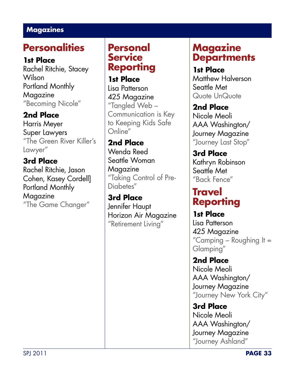## **Personalities**

#### **1st Place**

Rachel Ritchie, Stacey Wilson Portland Monthly Magazine "Becoming Nicole"

### **2nd Place**

Harris Meyer Super Lawyers "The Green River Killer's Lawyer"

### **3rd Place**

Rachel Ritchie, Jason Cohen, Kasey Cordell] Portland Monthly Magazine "The Game Changer"

### **Personal Service Reporting**

**1st Place** Lisa Patterson 425 Magazine "Tangled Web – Communication is Key to Keeping Kids Safe Online"

**2nd Place** Wenda Reed Seattle Woman Magazine "Taking Control of Pre-Diabetes"

**3rd Place** Jennifer Haupt Horizon Air Magazine "Retirement Living"

## **Magazine Departments**

### **1st Place**

Matthew Halverson Seattle Met Quote UnQuote

**2nd Place** Nicole Meoli AAA Washington/ Journey Magazine "Journey Last Stop"

**3rd Place** Kathryn Robinson Seattle Met "Back Fence"

## **Travel Reporting**

**1st Place** Lisa Patterson 425 Magazine "Camping – Roughing It = Glamping"

**2nd Place** Nicole Meoli AAA Washington/ Journey Magazine "Journey New York City"

**3rd Place** Nicole Meoli AAA Washington/ Journey Magazine "Journey Ashland"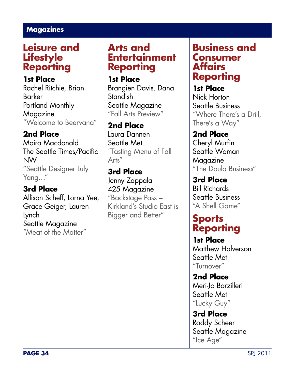### **Leisure and Lifestyle Reporting**

**1st Place**

Rachel Ritchie, Brian Barker Portland Monthly Magazine "Welcome to Beervana"

#### **2nd Place**

Moira Macdonald The Seattle Times/Pacific NW "Seattle Designer Luly Yang…"

**3rd Place** Allison Scheff, Lorna Yee, Grace Geiger, Lauren Lynch Seattle Magazine "Meat of the Matter"

### **Arts and Entertainment Reporting**

**1st Place** Brangien Davis, Dana Standish Seattle Magazine "Fall Arts Preview"

**2nd Place** Laura Dannen Seattle Met "Tasting Menu of Fall Arts"

**3rd Place** Jenny Zappala 425 Magazine "Backstage Pass – Kirkland's Studio East is Bigger and Better"

### **Business and Consumer Affairs Reporting**

**1st Place** Nick Horton Seattle Business "Where There's a Drill, There's a Way"

**2nd Place** Cheryl Murfin Seattle Woman Magazine "The Doula Business"

**3rd Place** Bill Richards Seattle Business "A Shell Game"

### **Sports Reporting**

**1st Place** Matthew Halverson Seattle Met "Turnover"

**2nd Place** Meri-lo Borzilleri Seattle Met "Lucky Guy"

**3rd Place** Roddy Scheer Seattle Magazine "Ice Age"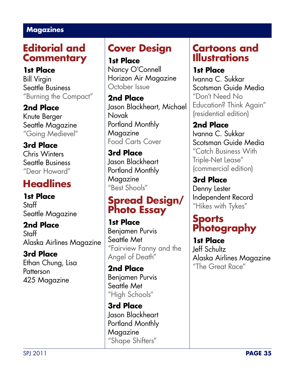## **Editorial and Commentary**

**1st Place** Bill Virgin Seattle Business "Burning the Compact"

**2nd Place** Knute Berger Seattle Magazine "Going Medievel"

**3rd Place** Chris Winters Seattle Business "Dear Howard"

# **Headlines**

**1st Place** Staff Seattle Magazine

**2nd Place Staff** Alaska Airlines Magazine

**3rd Place** Ethan Chung, Lisa **Patterson** 425 Magazine

## **Cover Design**

**1st Place** Nancy O'Connell Horizon Air Magazine October Issue

**2nd Place** Jason Blackheart, Michael Novak Portland Monthly Magazine Food Carts Cover

**3rd Place** Jason Blackheart Portland Monthly Magazine "Best Shools"

## **Spread Design/ Photo Essay**

**1st Place** Benjamen Purvis Seattle Met "Fairview Fanny and the Angel of Death"

**2nd Place** Benjamen Purvis Seattle Met "High Schools"

**3rd Place** Jason Blackheart Portland Monthly Magazine "Shape Shifters"

## **Cartoons and Illustrations**

**1st Place** Ivanna C. Sukkar Scotsman Guide Media "Don't Need No Education? Think Again" (residential edition)

**2nd Place** Ivanna C. Sukkar Scotsman Guide Media "Catch Business With Triple-Net Lease" (commercial edition)

**3rd Place** Denny Lester Independent Record "Hikes with Tykes"

## **Sports Photography**

**1st Place** Jeff Schultz Alaska Airlines Magazine "The Great Race"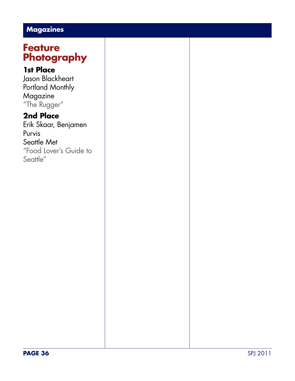## **Feature Photography**

#### **1st Place**

Jason Blackheart Portland Monthly Magazine "The Rugger"

### **2nd Place**

Erik Skaar, Benjamen Purvis Seattle Met "Food Lover's Guide to Seattle"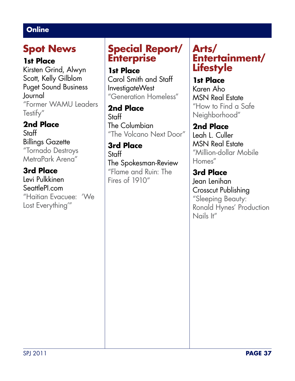## **Spot News**

#### **1st Place**

Kirsten Grind, Alwyn Scott, Kelly Gilblom Puget Sound Business Journal "Former WAMU Leaders Testify"

## **2nd Place**

**Staff** Billings Gazette "Tornado Destroys MetraPark Arena"

### **3rd Place**

Levi Pulkkinen SeattlePI.com "Haitian Evacuee: 'We Lost Everything'"

## **Special Report/ Enterprise**

#### **1st Place**

Carol Smith and Staff InvestigateWest "Generation Homeless"

**2nd Place Staff** The Columbian "The Volcano Next Door"

**3rd Place Staff** The Spokesman-Review "Flame and Ruin: The Fires of 1910"

## **Arts/ Entertainment/ Lifestyle**

**1st Place** Karen Aho MSN Real Estate "How to Find a Safe Neighborhood"

**2nd Place** Leah L. Culler MSN Real Estate "Million-dollar Mobile Homes"

**3rd Place** Jean Lenihan Crosscut Publishing "Sleeping Beauty: Ronald Hynes' Production Nails It"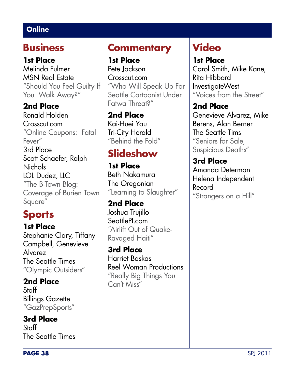## **Business**

**1st Place** Melinda Fulmer MSN Real Estate "Should You Feel Guilty If You Walk Away?"

**2nd Place** Ronald Holden Crosscut.com "Online Coupons: Fatal Fever" 3rd Place Scott Schaefer, Ralph **Nichols** LOL Dudez, LLC "The B-Town Blog: Coverage of Burien Town Square"

## **Sports**

**1st Place** Stephanie Clary, Tiffany Campbell, Genevieve Alvarez The Seattle Times "Olympic Outsiders"

**2nd Place Staff** Billings Gazette "GazPrepSports"

**3rd Place** Staff The Seattle Times

## **Commentary**

**1st Place** Pete Jackson Crosscut.com "Who Will Speak Up For Seattle Cartoonist Under Fatwa Threat?"

**2nd Place** Kai-Huei Yau Tri-City Herald "Behind the Fold"

# **Slideshow**

**1st Place** Beth Nakamura The Oregonian "Learning to Slaughter"

**2nd Place** Joshua Trujillo SeattlePI.com "Airlift Out of Quake-Ravaged Haiti"

**3rd Place** Harriet Baskas Reel Woman Productions "Really Big Things You Can't Miss"

## **Video**

**1st Place** Carol Smith, Mike Kane, Rita Hibbard InvestigateWest "Voices from the Street"

### **2nd Place**

Genevieve Alvarez, Mike Berens, Alan Berner The Seattle Tims "Seniors for Sale, Suspicious Deaths"

#### **3rd Place** Amanda Determan Helena Independent Record "Strangers on a Hill"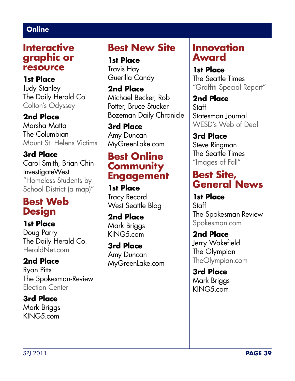### **Interactive graphic or resource**

**1st Place** Judy Stanley The Daily Herald Co. Colton's Odyssey

**2nd Place** Marsha Matta The Columbian Mount St. Helens Victims

**3rd Place** Carol Smith, Brian Chin InvestigateWest "Homeless Students by School District (a map)"

### **Best Web Design**

**1st Place** Doug Parry The Daily Herald Co. HeraldNet.com

**2nd Place** Ryan Pitts The Spokesman-Review Election Center

**3rd Place** Mark Briggs KING5.com

## **Best New Site**

**1st Place** Travis Hay Guerilla Candy

**2nd Place** Michael Becker, Rob Potter, Bruce Stucker Bozeman Daily Chronicle

**3rd Place** Amy Duncan MyGreenLake.com

### **Best Online Community Engagement**

**1st Place** Tracy Record West Seattle Blog

**2nd Place** Mark Briggs KING5.com

**3rd Place** Amy Duncan MyGreenLake.com

### **Innovation Award**

**1st Place** The Seattle Times "Graffiti Special Report"

**2nd Place Staff** Statesman Journal WESD's Web of Deal

**3rd Place** Steve Ringman The Seattle Times "Images of Fall"

## **Best Site, General News**

**1st Place Staff** The Spokesman-Review Spokesman.com

**2nd Place** Jerry Wakefield The Olympian TheOlympian.com

**3rd Place** Mark Briggs KING5.com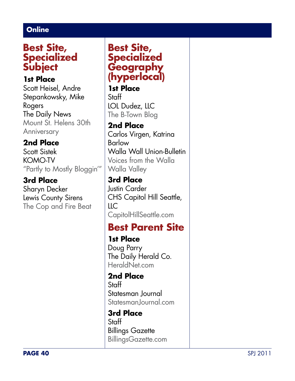### **Best Site, Specialized Subject**

#### **1st Place**

Scott Heisel, Andre Stepankowsky, Mike Rogers The Daily News Mount St. Helens 30th Anniversary

#### **2nd Place**

Scott Sistek KOMO-TV "Partly to Mostly Bloggin'"

#### **3rd Place**

Sharyn Decker Lewis County Sirens The Cop and Fire Beat

### **Best Site, Specialized Geography (hyperlocal)**

**1st Place** Staff LOL Dudez, LLC The B-Town Blog

### **2nd Place**

Carlos Virgen, Katrina Barlow Walla Wall Union-Bulletin Voices from the Walla Walla Valley

#### **3rd Place** Justin Carder CHS Capitol Hill Seattle, LLC CapitolHillSeattle.com

## **Best Parent Site**

**1st Place** Doug Parry The Daily Herald Co. HeraldNet.com

**2nd Place** Staff Statesman Journal StatesmanJournal.com

**3rd Place Staff** Billings Gazette BillingsGazette.com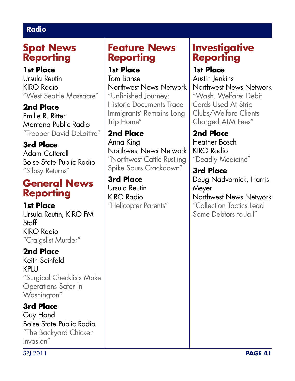#### **Radio**

## **Spot News Reporting**

#### **1st Place**

Ursula Reutin KIRO Radio "West Seattle Massacre"

**2nd Place**

Emilie R. Ritter Montana Public Radio "Trooper David DeLaittre"

**3rd Place** Adam Cotterell Boise State Public Radio "Silbsy Returns"

## **General News Reporting**

**1st Place** Ursula Reutin, KIRO FM Staff KIRO Radio "Craigslist Murder"

### **2nd Place**

Keith Seinfeld KPLU "Surgical Checklists Make Operations Safer in Washington"

**3rd Place** Guy Hand Boise State Public Radio "The Backyard Chicken

Invasion"

### **Feature News Reporting**

#### **1st Place**

Tom Banse Northwest News Network "Unfinished Journey: Historic Documents Trace Immigrants' Remains Long Trip Home"

**2nd Place**

Anna King Northwest News Network "Northwest Cattle Rustling Spike Spurs Crackdown"

**3rd Place** Ursula Reutin KIRO Radio "Helicopter Parents"

## **Investigative Reporting**

## **1st Place**

Austin Jenkins Northwest News Network "Wash. Welfare: Debit Cards Used At Strip Clubs/Welfare Clients Charged ATM Fees"

**2nd Place** Heather Bosch KIRO Radio "Deadly Medicine"

**3rd Place** Doug Nadvornick, Harris Meyer Northwest News Network "Collection Tactics Lead Some Debtors to Jail"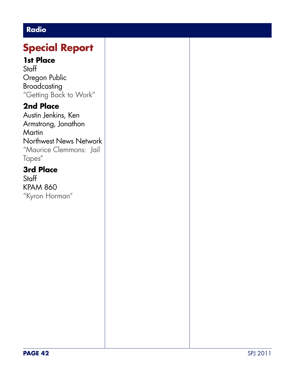### **Radio**

# **Special Report**

#### **1st Place**

**Staff** Oregon Public Broadcasting "Getting Back to Work"

### **2nd Place**

Austin Jenkins, Ken Armstrong, Jonathon **Martin** Northwest News Network "Maurice Clemmons: Jail Tapes"

### **3rd Place**

**Staff** KPAM 860 "Kyron Horman"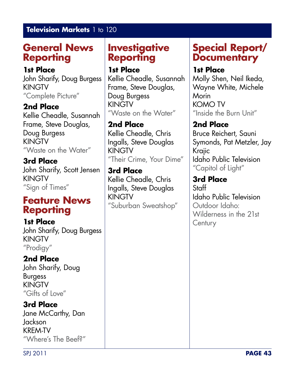#### **Television Markets** 1 to 120

## **General News Reporting**

#### **1st Place**

John Sharify, Doug Burgess KINGTV "Complete Picture"

#### **2nd Place**

Kellie Cheadle, Susannah Frame, Steve Douglas, Doug Burgess KINGTV "Waste on the Water"

**3rd Place** John Sharify, Scott Jensen KINGTV "Sign of Times"

### **Feature News Reporting**

**1st Place** John Sharify, Doug Burgess KINGTV "Prodigy"

### **2nd Place**

John Sharify, Doug Burgess KINGTV "Gifts of Love"

### **3rd Place**

Jane McCarthy, Dan Jackson KREM-TV "Where's The Beef?"

## **Investigative Reporting**

#### **1st Place**

Kellie Cheadle, Susannah Frame, Steve Douglas, Doug Burgess KINGTV "Waste on the Water"

### **2nd Place**

Kellie Cheadle, Chris Ingalls, Steve Douglas KINGTV "Their Crime, Your Dime"

#### **3rd Place** Kellie Cheadle, Chris Ingalls, Steve Douglas KINGTV "Suburban Sweatshop"

## **Special Report/ Documentary**

### **1st Place**

Molly Shen, Neil Ikeda, Wayne White, Michele Morin KOMO TV "Inside the Burn Unit"

### **2nd Place**

Bruce Reichert, Sauni Symonds, Pat Metzler, Jay Krajic Idaho Public Television "Capitol of Light"

#### **3rd Place** Staff Idaho Public Television Outdoor Idaho: Wilderness in the 21st **Century**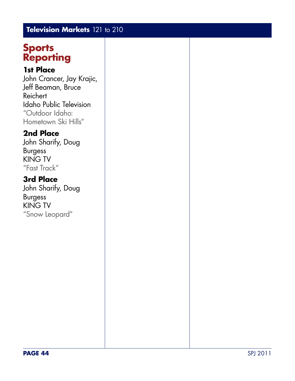### **Television Markets** 121 to 210

### **Sports Reporting**

#### **1st Place**

John Crancer, Jay Krajic, Jeff Beaman, Bruce Reichert Idaho Public Television "Outdoor Idaho: Hometown Ski Hills"

#### **2nd Place**

John Sharify, Doug Burgess KING TV "Fast Track"

### **3rd Place**

John Sharify, Doug Burgess KING TV "Snow Leopard"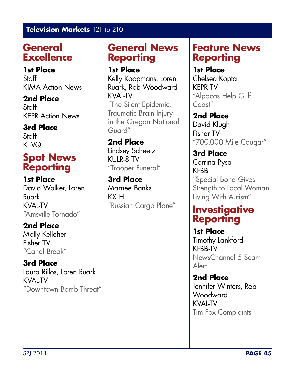#### **Television Markets** 121 to 210

## **General Excellence**

**1st Place** Staff KIMA Action News

**2nd Place** Staff KEPR Action News

**3rd Place Staff KTVQ** 

## **Spot News Reporting**

**1st Place** David Walker, Loren Ruark KVAL-TV "Amsville Tornado"

**2nd Place** Molly Kelleher Fisher TV "Canal Break"

**3rd Place** Laura Rillos, Loren Ruark KVAL-TV "Downtown Bomb Threat"

### **General News Reporting**

**1st Place**

Kelly Koopmans, Loren Ruark, Rob Woodward KVAL-TV "The Silent Epidemic: Traumatic Brain Injury in the Oregon National Guard"

**2nd Place** Lindsey Scheetz KULR-8 TV "Trooper Funeral"

**3rd Place** Marnee Banks KXLH "Russian Cargo Plane"

### **Feature News Reporting**

#### **1st Place**

Chelsea Kopta KEPR TV "Alpacas Help Gulf Coast"

**2nd Place** David Klugh Fisher TV "700,000 Mile Cougar"

**3rd Place** Corrina Pysa KFBB "Special Bond Gives Strength to Local Woman Living With Autism"

## **Investigative Reporting**

**1st Place** Timothy Lankford KFBB-TV NewsChannel 5 Scam Alert

**2nd Place** Jennifer Winters, Rob Woodward KVAL-TV Tim Fox Complaints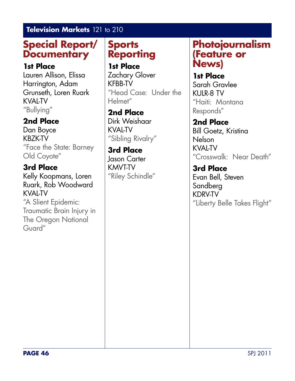#### **Television Markets** 121 to 210

## **Special Report/ Documentary**

#### **1st Place**

Lauren Allison, Elissa Harrington, Adam Grunseth, Loren Ruark KVAL-TV "Bullying"

### **2nd Place**

Dan Boyce KBZK-TV "Face the State: Barney Old Coyote"

### **3rd Place**

Kelly Koopmans, Loren Ruark, Rob Woodward KVAL-TV "A Slient Epidemic: Traumatic Brain Injury in

The Oregon National Guard"

## **Sports Reporting**

**1st Place** Zachary Glover KFBB-TV "Head Case: Under the Helmet"

#### **2nd Place**

Dirk Weishaar KVAL-TV "Sibling Rivalry"

**3rd Place** Jason Carter KMVT-TV "Riley Schindle"

### **Photojournalism (Feature or News)**

**1st Place** Sarah Gravlee KULR-8 TV "Haiti: Montana Responds"

**2nd Place** Bill Goetz, Kristina Nelson KVAL-TV "Crosswalk: Near Death"

**3rd Place** Evan Bell, Steven Sandberg KDRV-TV "Liberty Belle Takes Flight"